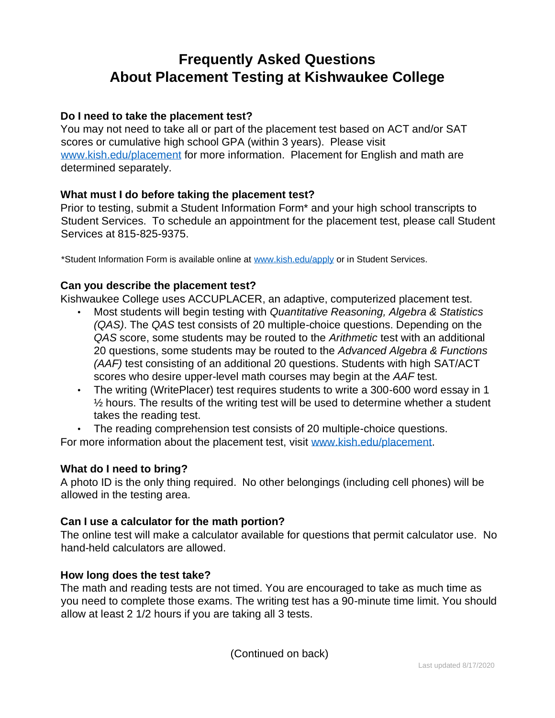# **Frequently Asked Questions About Placement Testing at Kishwaukee College**

## **Do I need to take the placement test?**

You may not need to take all or part of the placement test based on ACT and/or SAT scores or cumulative high school GPA (within 3 years). Please visit [www.kish.edu/placement](http://www.kish.edu/placement) for more information. Placement for English and math are determined separately.

## **What must I do before taking the placement test?**

Prior to testing, submit a Student Information Form\* and your high school transcripts to Student Services. To schedule an appointment for the placement test, please call Student Services at 815-825-9375.

\*Student Information Form is available online at [www.kish.edu/apply](http://www.kish.edu/apply) or in Student Services.

## **Can you describe the placement test?**

Kishwaukee College uses ACCUPLACER, an adaptive, computerized placement test.

- Most students will begin testing with *Quantitative Reasoning, Algebra & Statistics (QAS)*. The *QAS* test consists of 20 multiple-choice questions. Depending on the *QAS* score, some students may be routed to the *Arithmetic* test with an additional 20 questions, some students may be routed to the *Advanced Algebra & Functions (AAF)* test consisting of an additional 20 questions. Students with high SAT/ACT scores who desire upper-level math courses may begin at the *AAF* test.
- The writing (WritePlacer) test requires students to write a 300-600 word essay in 1  $\frac{1}{2}$  hours. The results of the writing test will be used to determine whether a student takes the reading test.
- The reading comprehension test consists of 20 multiple-choice questions.

For more information about the placement test, visit [www.kish.edu/placement.](http://www.kish.edu/placement)

## **What do I need to bring?**

A photo ID is the only thing required. No other belongings (including cell phones) will be allowed in the testing area.

## **Can I use a calculator for the math portion?**

The online test will make a calculator available for questions that permit calculator use. No hand-held calculators are allowed.

## **How long does the test take?**

The math and reading tests are not timed. You are encouraged to take as much time as you need to complete those exams. The writing test has a 90-minute time limit. You should allow at least 2 1/2 hours if you are taking all 3 tests.

(Continued on back)